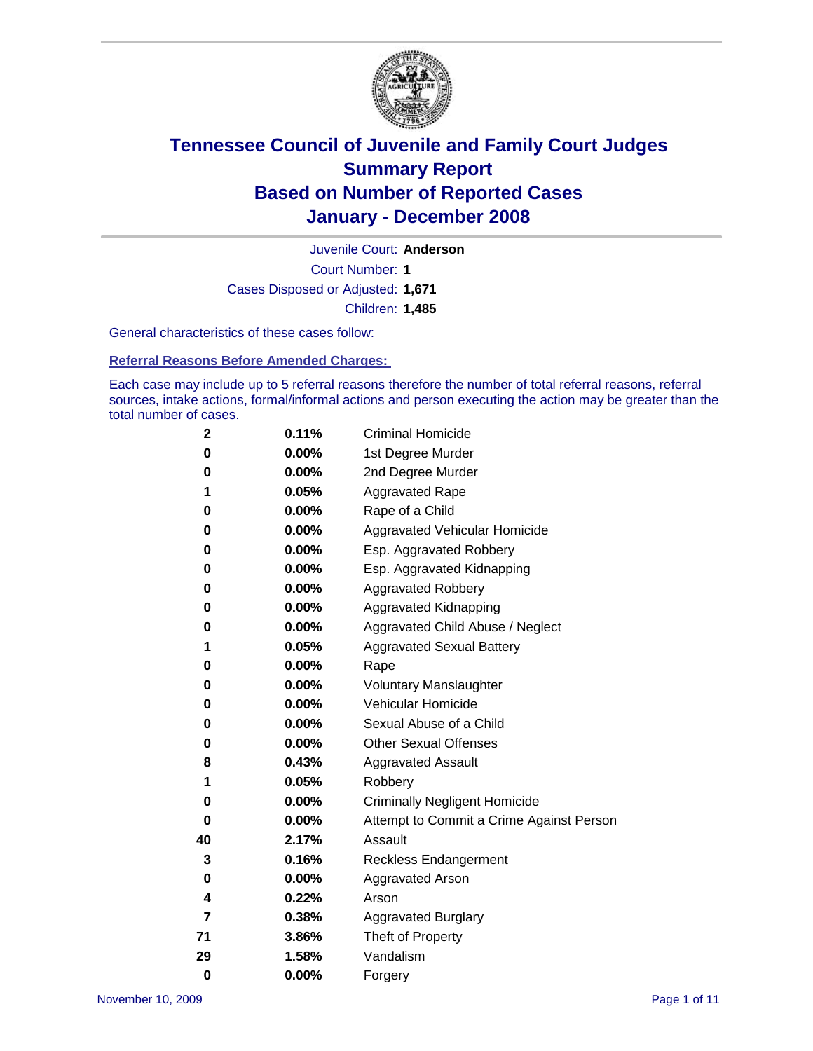

Court Number: **1** Juvenile Court: **Anderson** Cases Disposed or Adjusted: **1,671** Children: **1,485**

General characteristics of these cases follow:

**Referral Reasons Before Amended Charges:** 

Each case may include up to 5 referral reasons therefore the number of total referral reasons, referral sources, intake actions, formal/informal actions and person executing the action may be greater than the total number of cases.

| 2        | 0.11%    | <b>Criminal Homicide</b>                 |  |  |  |
|----------|----------|------------------------------------------|--|--|--|
| 0        | 0.00%    | 1st Degree Murder                        |  |  |  |
| 0        | $0.00\%$ | 2nd Degree Murder                        |  |  |  |
| 1        | 0.05%    | <b>Aggravated Rape</b>                   |  |  |  |
| 0        | 0.00%    | Rape of a Child                          |  |  |  |
| 0        | $0.00\%$ | Aggravated Vehicular Homicide            |  |  |  |
| 0        | 0.00%    | Esp. Aggravated Robbery                  |  |  |  |
| 0        | $0.00\%$ | Esp. Aggravated Kidnapping               |  |  |  |
| 0        | 0.00%    | <b>Aggravated Robbery</b>                |  |  |  |
| 0        | 0.00%    | Aggravated Kidnapping                    |  |  |  |
| 0        | $0.00\%$ | Aggravated Child Abuse / Neglect         |  |  |  |
| 1        | 0.05%    | <b>Aggravated Sexual Battery</b>         |  |  |  |
| 0        | 0.00%    | Rape                                     |  |  |  |
| 0        | 0.00%    | <b>Voluntary Manslaughter</b>            |  |  |  |
| 0        | 0.00%    | Vehicular Homicide                       |  |  |  |
| 0        | $0.00\%$ | Sexual Abuse of a Child                  |  |  |  |
| 0        | 0.00%    | <b>Other Sexual Offenses</b>             |  |  |  |
| 8        | 0.43%    | <b>Aggravated Assault</b>                |  |  |  |
| 1        | 0.05%    | Robbery                                  |  |  |  |
| 0        | 0.00%    | <b>Criminally Negligent Homicide</b>     |  |  |  |
| 0        | 0.00%    | Attempt to Commit a Crime Against Person |  |  |  |
| 40       | 2.17%    | Assault                                  |  |  |  |
| 3        | 0.16%    | <b>Reckless Endangerment</b>             |  |  |  |
| 0        | 0.00%    | <b>Aggravated Arson</b>                  |  |  |  |
| 4        | 0.22%    | Arson                                    |  |  |  |
| 7        | 0.38%    | <b>Aggravated Burglary</b>               |  |  |  |
| 71       | 3.86%    | Theft of Property                        |  |  |  |
| 29       | 1.58%    | Vandalism                                |  |  |  |
| $\bf{0}$ | 0.00%    | Forgery                                  |  |  |  |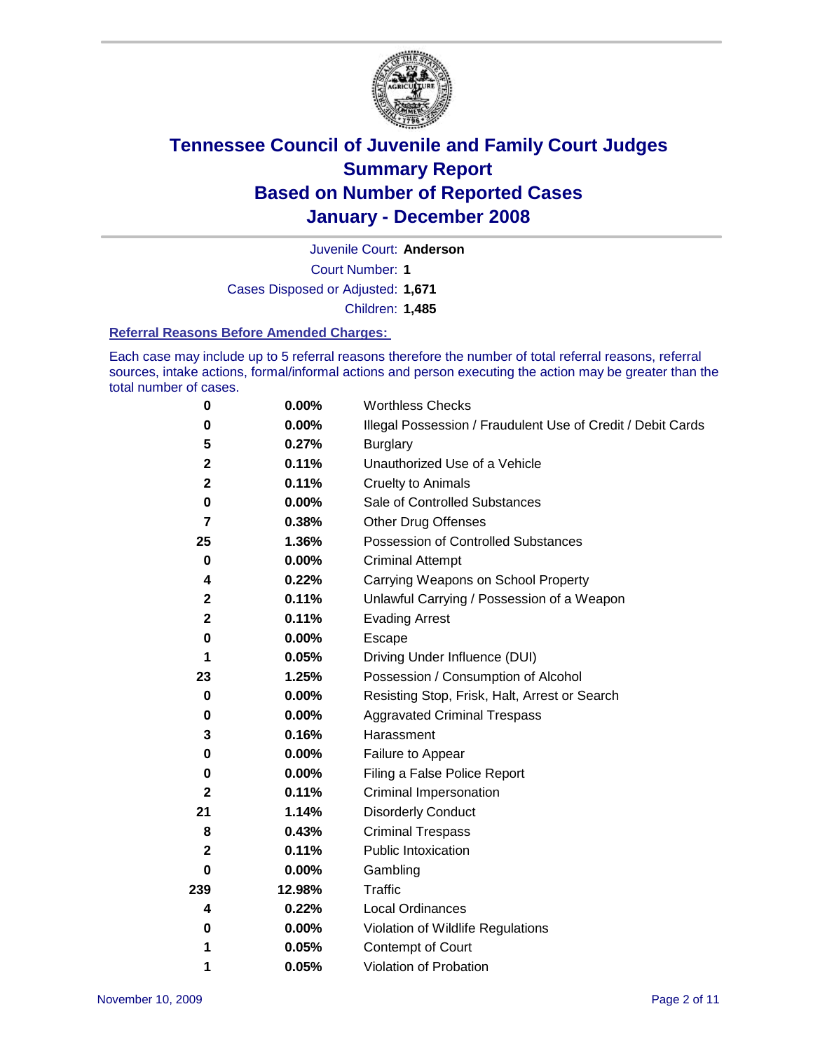

Juvenile Court: **Anderson**

Court Number: **1**

Cases Disposed or Adjusted: **1,671**

Children: **1,485**

### **Referral Reasons Before Amended Charges:**

Each case may include up to 5 referral reasons therefore the number of total referral reasons, referral sources, intake actions, formal/informal actions and person executing the action may be greater than the total number of cases.

| 0              | 0.00%    | <b>Worthless Checks</b>                                     |
|----------------|----------|-------------------------------------------------------------|
| 0              | 0.00%    | Illegal Possession / Fraudulent Use of Credit / Debit Cards |
| 5              | 0.27%    | <b>Burglary</b>                                             |
| $\mathbf 2$    | 0.11%    | Unauthorized Use of a Vehicle                               |
| $\mathbf 2$    | 0.11%    | <b>Cruelty to Animals</b>                                   |
| 0              | $0.00\%$ | Sale of Controlled Substances                               |
| $\overline{7}$ | 0.38%    | <b>Other Drug Offenses</b>                                  |
| 25             | 1.36%    | <b>Possession of Controlled Substances</b>                  |
| $\mathbf 0$    | 0.00%    | <b>Criminal Attempt</b>                                     |
| 4              | 0.22%    | Carrying Weapons on School Property                         |
| $\mathbf 2$    | 0.11%    | Unlawful Carrying / Possession of a Weapon                  |
| $\mathbf 2$    | 0.11%    | <b>Evading Arrest</b>                                       |
| $\bf{0}$       | 0.00%    | Escape                                                      |
| 1              | 0.05%    | Driving Under Influence (DUI)                               |
| 23             | 1.25%    | Possession / Consumption of Alcohol                         |
| 0              | 0.00%    | Resisting Stop, Frisk, Halt, Arrest or Search               |
| 0              | $0.00\%$ | <b>Aggravated Criminal Trespass</b>                         |
| 3              | 0.16%    | Harassment                                                  |
| 0              | 0.00%    | Failure to Appear                                           |
| 0              | 0.00%    | Filing a False Police Report                                |
| 2              | 0.11%    | Criminal Impersonation                                      |
| 21             | 1.14%    | <b>Disorderly Conduct</b>                                   |
| 8              | 0.43%    | <b>Criminal Trespass</b>                                    |
| $\mathbf 2$    | 0.11%    | <b>Public Intoxication</b>                                  |
| 0              | 0.00%    | Gambling                                                    |
| 239            | 12.98%   | Traffic                                                     |
| 4              | 0.22%    | <b>Local Ordinances</b>                                     |
| $\bf{0}$       | $0.00\%$ | Violation of Wildlife Regulations                           |
| 1              | 0.05%    | Contempt of Court                                           |
| 1              | 0.05%    | Violation of Probation                                      |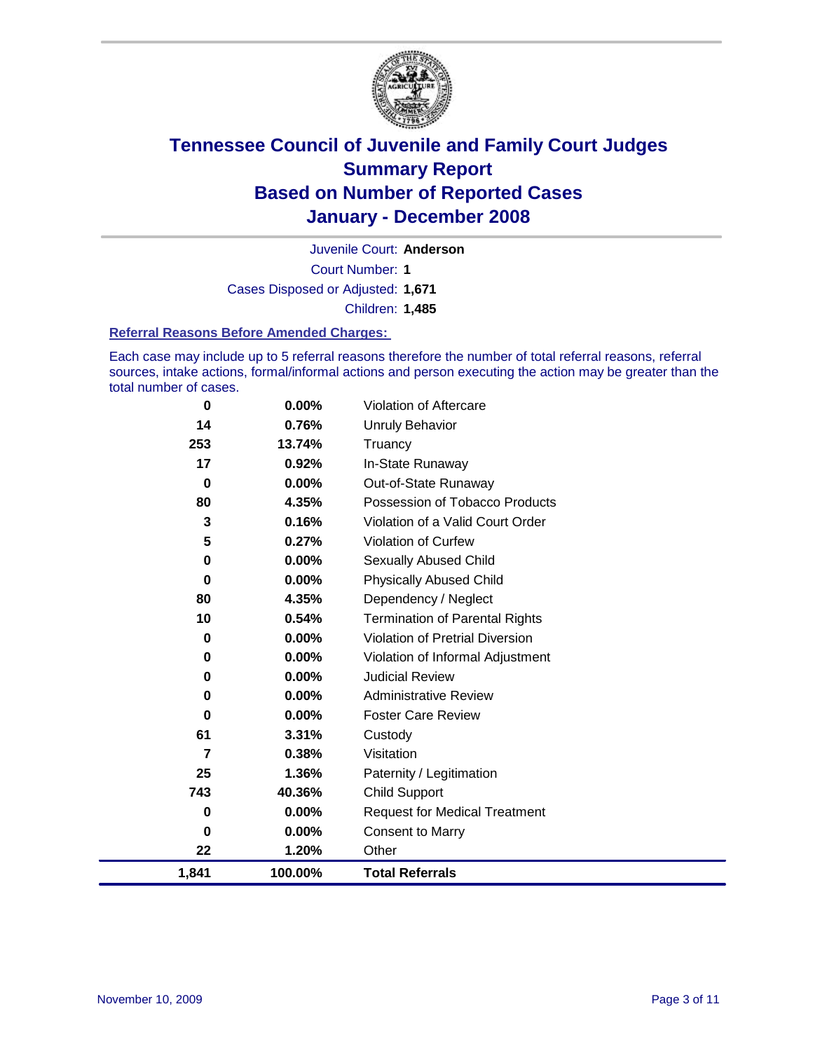

Court Number: **1** Juvenile Court: **Anderson** Cases Disposed or Adjusted: **1,671** Children: **1,485**

#### **Referral Reasons Before Amended Charges:**

Each case may include up to 5 referral reasons therefore the number of total referral reasons, referral sources, intake actions, formal/informal actions and person executing the action may be greater than the total number of cases.

| 0        | $0.00\%$ | Violation of Aftercare                 |
|----------|----------|----------------------------------------|
| 14       | 0.76%    | <b>Unruly Behavior</b>                 |
| 253      | 13.74%   | Truancy                                |
| 17       | 0.92%    | In-State Runaway                       |
| 0        | $0.00\%$ | Out-of-State Runaway                   |
| 80       | 4.35%    | Possession of Tobacco Products         |
| 3        | 0.16%    | Violation of a Valid Court Order       |
| 5        | 0.27%    | <b>Violation of Curfew</b>             |
| 0        | 0.00%    | <b>Sexually Abused Child</b>           |
| $\bf{0}$ | 0.00%    | <b>Physically Abused Child</b>         |
| 80       | 4.35%    | Dependency / Neglect                   |
| 10       | 0.54%    | <b>Termination of Parental Rights</b>  |
| 0        | 0.00%    | <b>Violation of Pretrial Diversion</b> |
| 0        | $0.00\%$ | Violation of Informal Adjustment       |
| 0        | $0.00\%$ | <b>Judicial Review</b>                 |
| 0        | 0.00%    | <b>Administrative Review</b>           |
| 0        | $0.00\%$ | <b>Foster Care Review</b>              |
| 61       | 3.31%    | Custody                                |
| 7        | 0.38%    | Visitation                             |
| 25       | 1.36%    | Paternity / Legitimation               |
| 743      | 40.36%   | Child Support                          |
| 0        | 0.00%    | <b>Request for Medical Treatment</b>   |
| 0        | $0.00\%$ | <b>Consent to Marry</b>                |
| 22       | 1.20%    | Other                                  |
| 1,841    | 100.00%  | <b>Total Referrals</b>                 |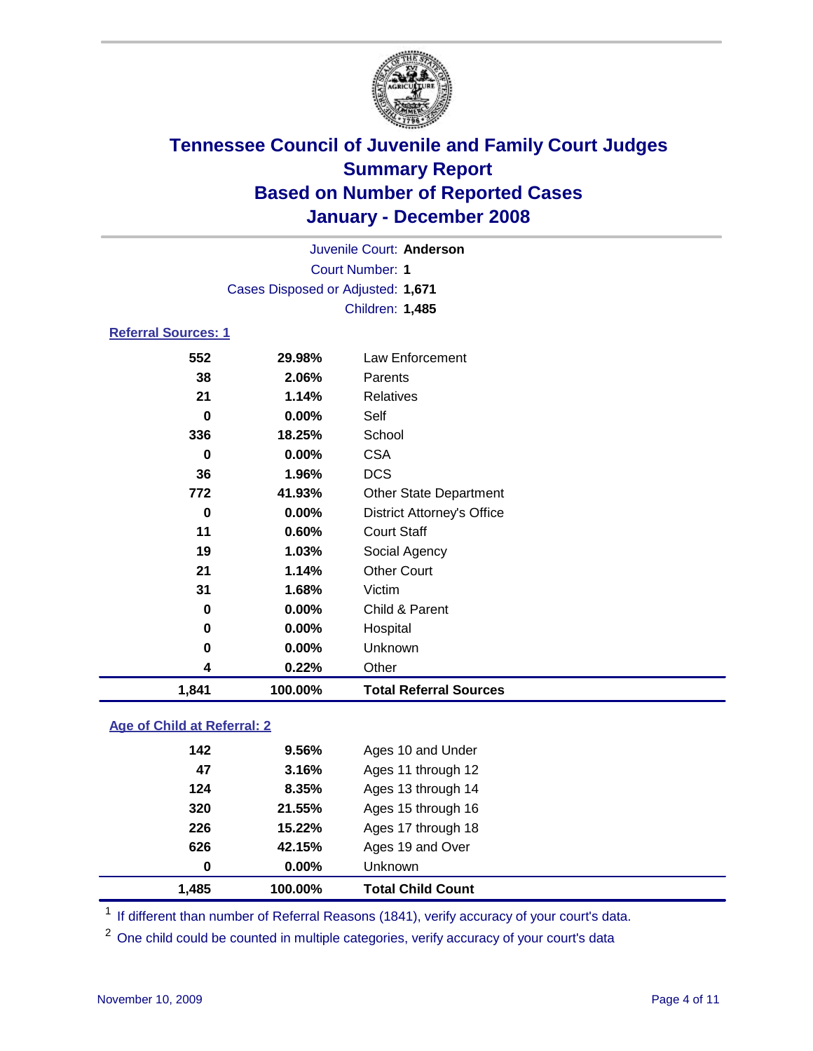

|                     |                                   | Juvenile Court: Anderson          |  |
|---------------------|-----------------------------------|-----------------------------------|--|
|                     |                                   | <b>Court Number: 1</b>            |  |
|                     | Cases Disposed or Adjusted: 1,671 |                                   |  |
|                     |                                   | Children: 1,485                   |  |
| Referral Sources: 1 |                                   |                                   |  |
| 552                 | 29.98%                            | Law Enforcement                   |  |
| 38                  | 2.06%                             | Parents                           |  |
| 21                  | 1.14%                             | Relatives                         |  |
| $\bf{0}$            | 0.00%                             | Self                              |  |
| 336                 | 18.25%                            | School                            |  |
| $\bf{0}$            | 0.00%                             | <b>CSA</b>                        |  |
| 36                  | 1.96%                             | <b>DCS</b>                        |  |
| 772                 | 41.93%                            | <b>Other State Department</b>     |  |
| 0                   | 0.00%                             | <b>District Attorney's Office</b> |  |
| 11                  | 0.60%                             | <b>Court Staff</b>                |  |
| 19                  | 1.03%                             | Social Agency                     |  |
| 21                  | 1.14%                             | <b>Other Court</b>                |  |
| 31                  | 1.68%                             | Victim                            |  |
| 0                   | 0.00%                             | Child & Parent                    |  |
| 0                   | 0.00%                             | Hospital                          |  |
| 0                   | $0.00\%$                          | Unknown                           |  |

### **Age of Child at Referral: 2**

| 1.485 | 100.00%  | <b>Total Child Count</b> |
|-------|----------|--------------------------|
| 0     | $0.00\%$ | <b>Unknown</b>           |
| 626   | 42.15%   | Ages 19 and Over         |
| 226   | 15.22%   | Ages 17 through 18       |
| 320   | 21.55%   | Ages 15 through 16       |
| 124   | 8.35%    | Ages 13 through 14       |
| 47    | 3.16%    | Ages 11 through 12       |
| 142   | 9.56%    | Ages 10 and Under        |
|       |          |                          |

<sup>1</sup> If different than number of Referral Reasons (1841), verify accuracy of your court's data.

<sup>2</sup> One child could be counted in multiple categories, verify accuracy of your court's data

**0.22%** Other

**1,841 100.00% Total Referral Sources**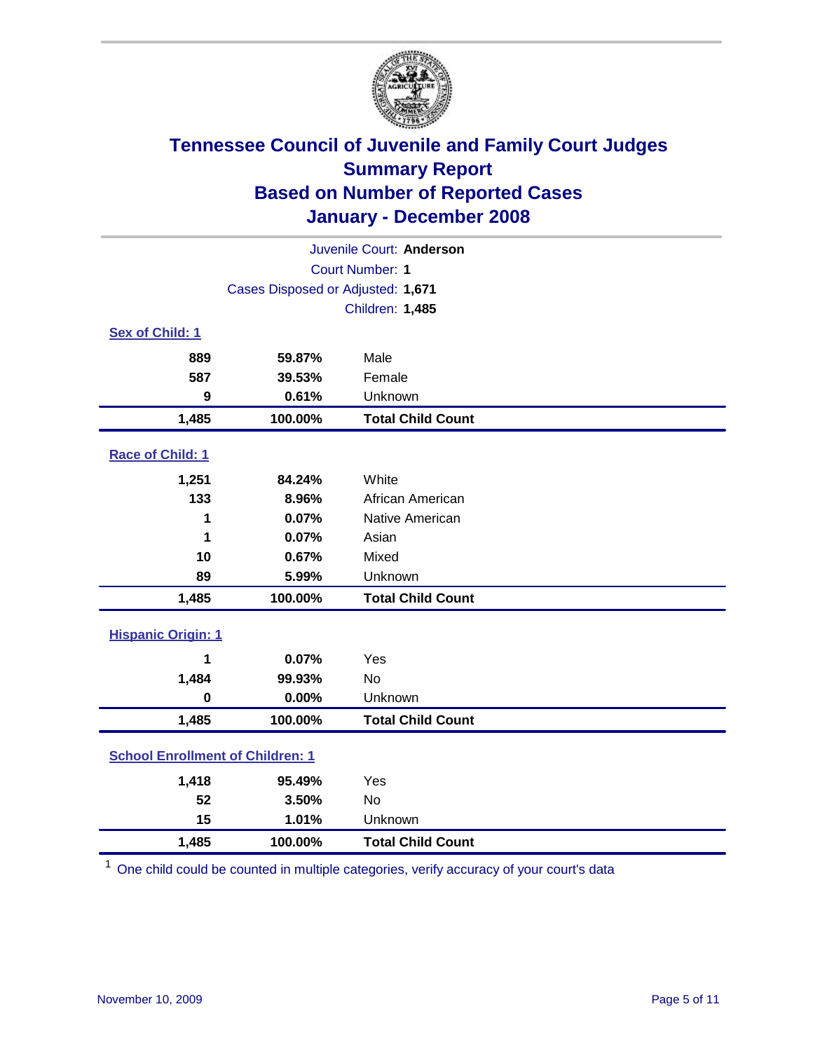

| Juvenile Court: Anderson                |                                   |                          |  |  |  |
|-----------------------------------------|-----------------------------------|--------------------------|--|--|--|
| <b>Court Number: 1</b>                  |                                   |                          |  |  |  |
|                                         | Cases Disposed or Adjusted: 1,671 |                          |  |  |  |
|                                         |                                   | Children: 1,485          |  |  |  |
| Sex of Child: 1                         |                                   |                          |  |  |  |
| 889                                     | 59.87%                            | Male                     |  |  |  |
| 587                                     | 39.53%                            | Female                   |  |  |  |
| 9                                       | 0.61%                             | Unknown                  |  |  |  |
| 1,485                                   | 100.00%                           | <b>Total Child Count</b> |  |  |  |
| Race of Child: 1                        |                                   |                          |  |  |  |
| 1,251                                   | 84.24%                            | White                    |  |  |  |
| 133                                     | 8.96%                             | African American         |  |  |  |
| 1                                       | 0.07%                             | Native American          |  |  |  |
| 1                                       | 0.07%                             | Asian                    |  |  |  |
| 10                                      | 0.67%                             | Mixed                    |  |  |  |
| 89                                      | 5.99%                             | Unknown                  |  |  |  |
| 1,485                                   | 100.00%                           | <b>Total Child Count</b> |  |  |  |
| <b>Hispanic Origin: 1</b>               |                                   |                          |  |  |  |
| 1                                       | 0.07%                             | Yes                      |  |  |  |
| 1,484                                   | 99.93%                            | <b>No</b>                |  |  |  |
| $\bf{0}$                                | 0.00%                             | Unknown                  |  |  |  |
| 1,485                                   | 100.00%                           | <b>Total Child Count</b> |  |  |  |
| <b>School Enrollment of Children: 1</b> |                                   |                          |  |  |  |
| 1,418                                   | 95.49%                            | Yes                      |  |  |  |
| 52                                      | 3.50%                             | No                       |  |  |  |
| 15                                      | 1.01%                             | Unknown                  |  |  |  |
| 1,485                                   | 100.00%                           | <b>Total Child Count</b> |  |  |  |

<sup>1</sup> One child could be counted in multiple categories, verify accuracy of your court's data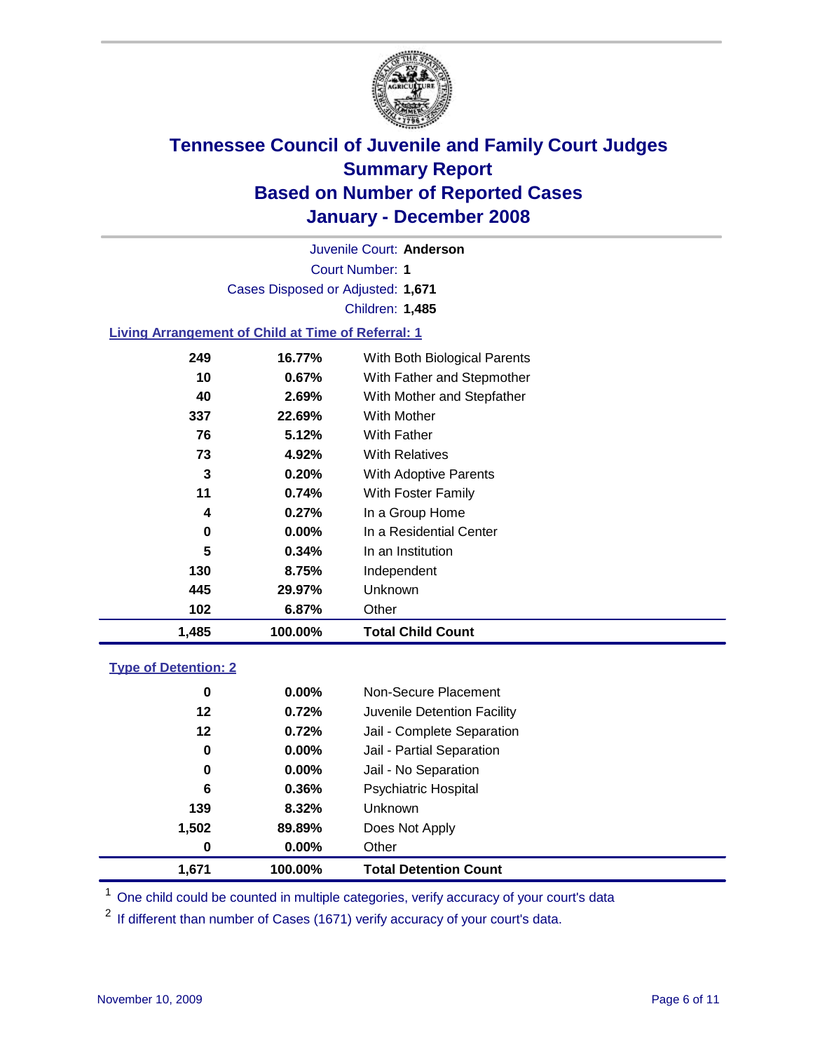

Court Number: **1** Juvenile Court: **Anderson** Cases Disposed or Adjusted: **1,671** Children: **1,485**

### **Living Arrangement of Child at Time of Referral: 1**

| 1,485 | 100.00%  | <b>Total Child Count</b>     |
|-------|----------|------------------------------|
| 102   | 6.87%    | Other                        |
| 445   | 29.97%   | Unknown                      |
| 130   | 8.75%    | Independent                  |
| 5     | 0.34%    | In an Institution            |
| 0     | $0.00\%$ | In a Residential Center      |
| 4     | 0.27%    | In a Group Home              |
| 11    | 0.74%    | With Foster Family           |
| 3     | 0.20%    | With Adoptive Parents        |
| 73    | 4.92%    | <b>With Relatives</b>        |
| 76    | 5.12%    | <b>With Father</b>           |
| 337   | 22.69%   | With Mother                  |
| 40    | 2.69%    | With Mother and Stepfather   |
| 10    | 0.67%    | With Father and Stepmother   |
| 249   | 16.77%   | With Both Biological Parents |

#### **Type of Detention: 2**

| 1.671 | 100.00%  | <b>Total Detention Count</b> |
|-------|----------|------------------------------|
| 0     | 0.00%    | Other                        |
| 1,502 | 89.89%   | Does Not Apply               |
| 139   | 8.32%    | <b>Unknown</b>               |
| 6     | 0.36%    | <b>Psychiatric Hospital</b>  |
| 0     | 0.00%    | Jail - No Separation         |
| 0     | $0.00\%$ | Jail - Partial Separation    |
| 12    | 0.72%    | Jail - Complete Separation   |
| 12    | 0.72%    | Juvenile Detention Facility  |
| 0     | $0.00\%$ | Non-Secure Placement         |
|       |          |                              |

<sup>1</sup> One child could be counted in multiple categories, verify accuracy of your court's data

<sup>2</sup> If different than number of Cases (1671) verify accuracy of your court's data.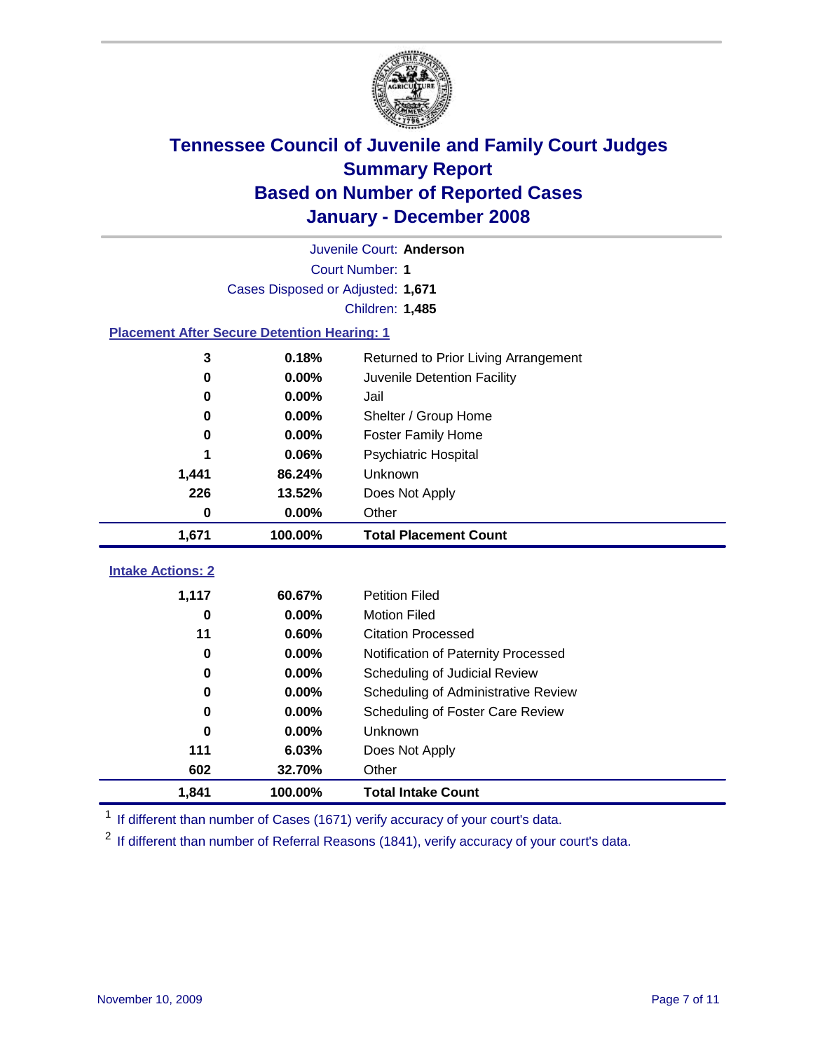

|                                                    | Juvenile Court: Anderson          |                                      |  |  |  |
|----------------------------------------------------|-----------------------------------|--------------------------------------|--|--|--|
|                                                    | Court Number: 1                   |                                      |  |  |  |
|                                                    | Cases Disposed or Adjusted: 1,671 |                                      |  |  |  |
|                                                    |                                   | Children: 1,485                      |  |  |  |
| <b>Placement After Secure Detention Hearing: 1</b> |                                   |                                      |  |  |  |
| 3                                                  | 0.18%                             | Returned to Prior Living Arrangement |  |  |  |
| 0                                                  | 0.00%                             | Juvenile Detention Facility          |  |  |  |
| 0                                                  | 0.00%                             | Jail                                 |  |  |  |
| 0                                                  | 0.00%                             | Shelter / Group Home                 |  |  |  |
| 0                                                  | 0.00%                             | <b>Foster Family Home</b>            |  |  |  |
| 1                                                  | 0.06%                             | Psychiatric Hospital                 |  |  |  |
| 1,441                                              | 86.24%                            | Unknown                              |  |  |  |
| 226                                                | 13.52%                            | Does Not Apply                       |  |  |  |
| $\bf{0}$                                           | $0.00\%$                          | Other                                |  |  |  |
| 1,671                                              | 100.00%                           | <b>Total Placement Count</b>         |  |  |  |
| <b>Intake Actions: 2</b>                           |                                   |                                      |  |  |  |
|                                                    |                                   |                                      |  |  |  |
| 1,117<br>0                                         |                                   |                                      |  |  |  |
|                                                    | 60.67%                            | <b>Petition Filed</b>                |  |  |  |
|                                                    | 0.00%                             | <b>Motion Filed</b>                  |  |  |  |
| 11                                                 | 0.60%                             | <b>Citation Processed</b>            |  |  |  |
| 0                                                  | 0.00%                             | Notification of Paternity Processed  |  |  |  |
| $\mathbf 0$                                        | 0.00%                             | Scheduling of Judicial Review        |  |  |  |
| 0                                                  | 0.00%                             | Scheduling of Administrative Review  |  |  |  |
| 0                                                  | 0.00%                             | Scheduling of Foster Care Review     |  |  |  |
| 0                                                  | 0.00%                             | Unknown                              |  |  |  |
| 111                                                | 6.03%                             | Does Not Apply                       |  |  |  |
| 602<br>1,841                                       | 32.70%<br>100.00%                 | Other<br><b>Total Intake Count</b>   |  |  |  |

<sup>1</sup> If different than number of Cases (1671) verify accuracy of your court's data.

<sup>2</sup> If different than number of Referral Reasons (1841), verify accuracy of your court's data.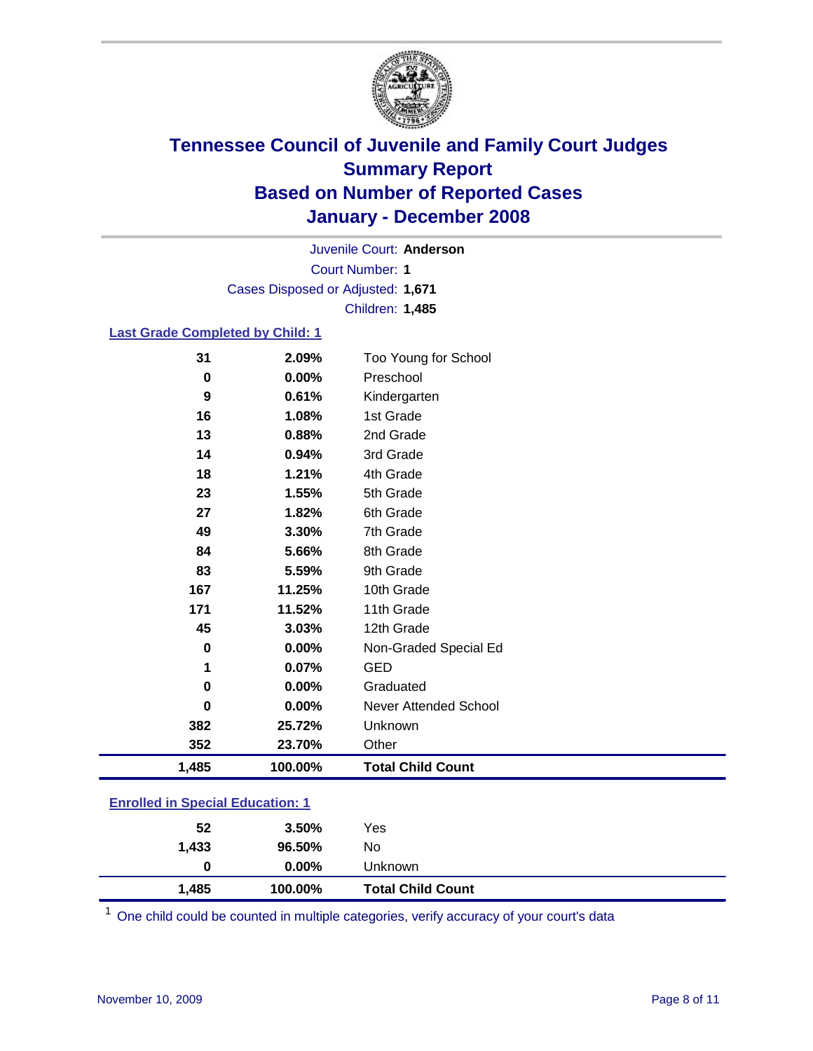

Court Number: **1** Juvenile Court: **Anderson** Cases Disposed or Adjusted: **1,671** Children: **1,485**

#### **Last Grade Completed by Child: 1**

| 31          | 2.09%   | Too Young for School     |
|-------------|---------|--------------------------|
| $\bf{0}$    | 0.00%   | Preschool                |
| 9           | 0.61%   | Kindergarten             |
| 16          | 1.08%   | 1st Grade                |
| 13          | 0.88%   | 2nd Grade                |
| 14          | 0.94%   | 3rd Grade                |
| 18          | 1.21%   | 4th Grade                |
| 23          | 1.55%   | 5th Grade                |
| 27          | 1.82%   | 6th Grade                |
| 49          | 3.30%   | 7th Grade                |
| 84          | 5.66%   | 8th Grade                |
| 83          | 5.59%   | 9th Grade                |
| 167         | 11.25%  | 10th Grade               |
| 171         | 11.52%  | 11th Grade               |
| 45          | 3.03%   | 12th Grade               |
| 0           | 0.00%   | Non-Graded Special Ed    |
| 1           | 0.07%   | <b>GED</b>               |
| $\mathbf 0$ | 0.00%   | Graduated                |
| $\bf{0}$    | 0.00%   | Never Attended School    |
| 382         | 25.72%  | Unknown                  |
| 352         | 23.70%  | Other                    |
| 1,485       | 100.00% | <b>Total Child Count</b> |

### **Enrolled in Special Education: 1**

| 1,433 | 96.50%   | No                       |  |
|-------|----------|--------------------------|--|
| 0     | $0.00\%$ | Unknown                  |  |
| 1,485 | 100.00%  | <b>Total Child Count</b> |  |

<sup>1</sup> One child could be counted in multiple categories, verify accuracy of your court's data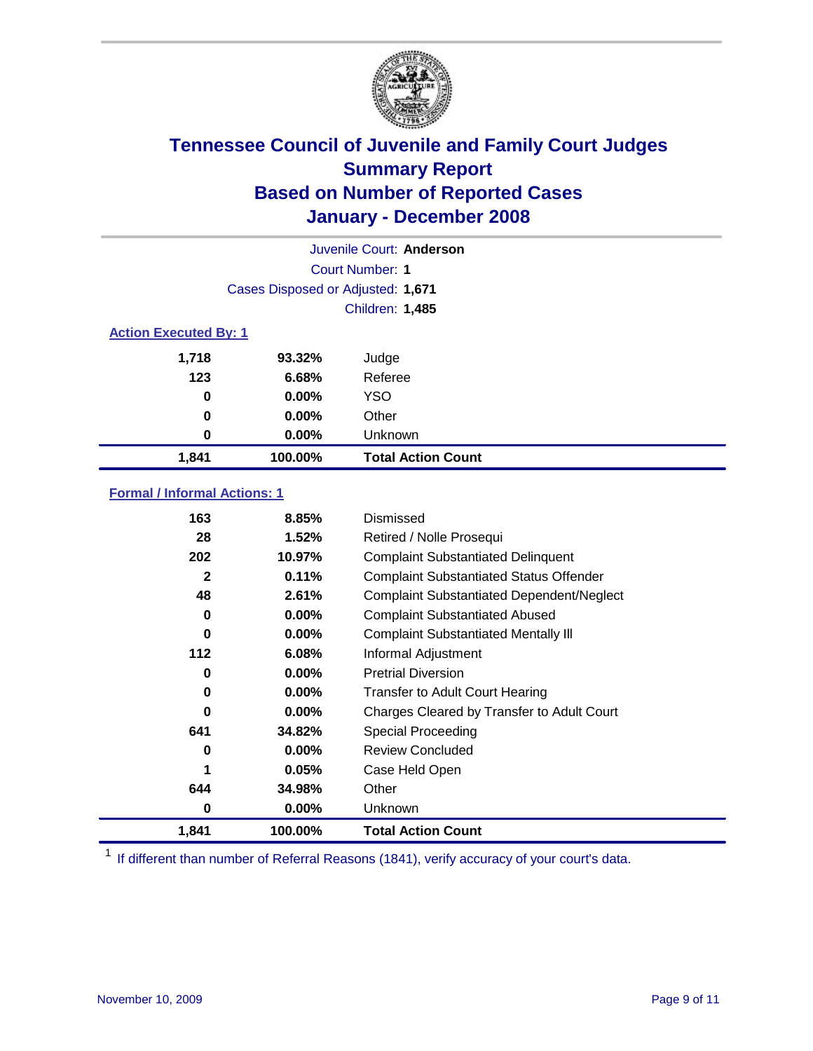

| Juvenile Court: Anderson     |                                   |                           |  |  |  |
|------------------------------|-----------------------------------|---------------------------|--|--|--|
|                              | Court Number: 1                   |                           |  |  |  |
|                              | Cases Disposed or Adjusted: 1,671 |                           |  |  |  |
|                              | Children: 1,485                   |                           |  |  |  |
| <b>Action Executed By: 1</b> |                                   |                           |  |  |  |
| 1,718                        | 93.32%                            | Judge                     |  |  |  |
| 123                          | 6.68%                             | Referee                   |  |  |  |
| 0                            | $0.00\%$                          | <b>YSO</b>                |  |  |  |
| 0                            | 0.00%                             | Other                     |  |  |  |
| 0                            | $0.00\%$                          | Unknown                   |  |  |  |
| 1,841                        | 100.00%                           | <b>Total Action Count</b> |  |  |  |

### **Formal / Informal Actions: 1**

| 163   | 8.85%    | Dismissed                                        |
|-------|----------|--------------------------------------------------|
| 28    | 1.52%    | Retired / Nolle Prosequi                         |
| 202   | 10.97%   | <b>Complaint Substantiated Delinquent</b>        |
| 2     | 0.11%    | <b>Complaint Substantiated Status Offender</b>   |
| 48    | 2.61%    | <b>Complaint Substantiated Dependent/Neglect</b> |
| 0     | $0.00\%$ | <b>Complaint Substantiated Abused</b>            |
| 0     | $0.00\%$ | <b>Complaint Substantiated Mentally III</b>      |
| 112   | 6.08%    | Informal Adjustment                              |
| 0     | $0.00\%$ | <b>Pretrial Diversion</b>                        |
| 0     | $0.00\%$ | <b>Transfer to Adult Court Hearing</b>           |
| 0     | $0.00\%$ | Charges Cleared by Transfer to Adult Court       |
| 641   | 34.82%   | Special Proceeding                               |
| 0     | $0.00\%$ | <b>Review Concluded</b>                          |
| 1     | 0.05%    | Case Held Open                                   |
| 644   | 34.98%   | Other                                            |
| 0     | 0.00%    | <b>Unknown</b>                                   |
| 1,841 | 100.00%  | <b>Total Action Count</b>                        |

<sup>1</sup> If different than number of Referral Reasons (1841), verify accuracy of your court's data.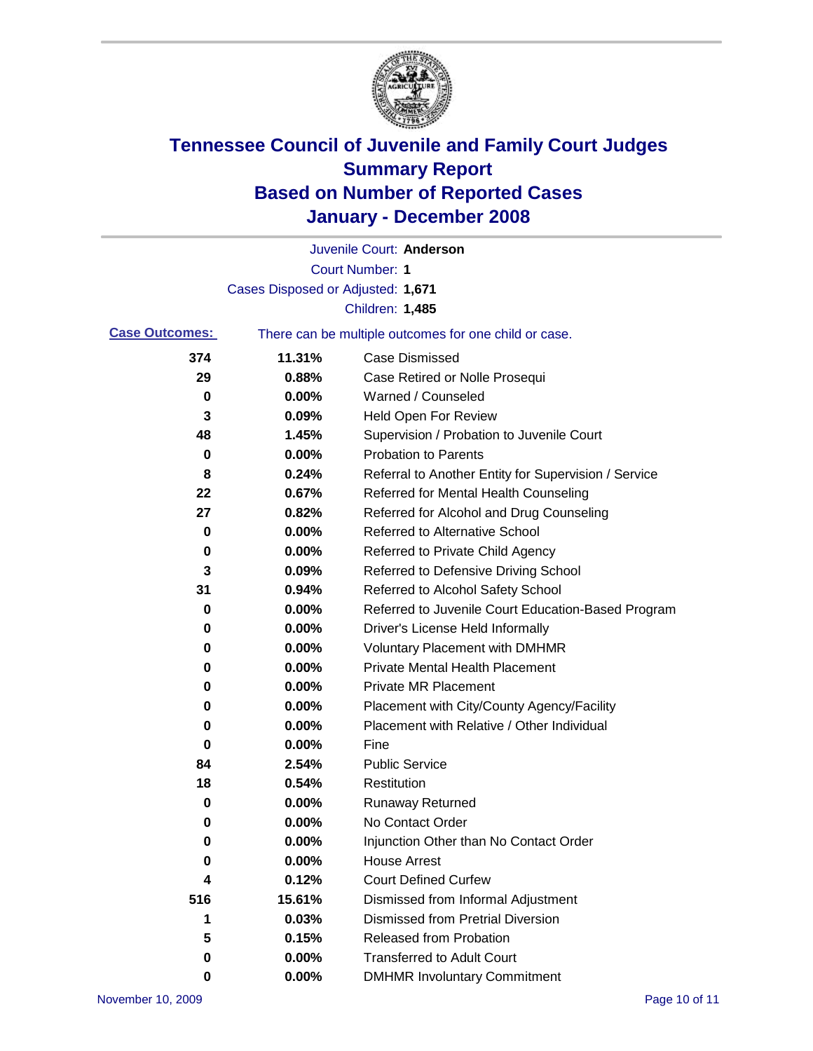

|                       |                                   | Juvenile Court: Anderson                              |
|-----------------------|-----------------------------------|-------------------------------------------------------|
|                       |                                   | Court Number: 1                                       |
|                       | Cases Disposed or Adjusted: 1,671 |                                                       |
|                       |                                   | Children: 1,485                                       |
| <b>Case Outcomes:</b> |                                   | There can be multiple outcomes for one child or case. |
| 374                   | 11.31%                            | <b>Case Dismissed</b>                                 |
| 29                    | 0.88%                             | Case Retired or Nolle Prosequi                        |
| 0                     | 0.00%                             | Warned / Counseled                                    |
| 3                     | 0.09%                             | Held Open For Review                                  |
| 48                    | 1.45%                             | Supervision / Probation to Juvenile Court             |
| 0                     | 0.00%                             | <b>Probation to Parents</b>                           |
| 8                     | 0.24%                             | Referral to Another Entity for Supervision / Service  |
| 22                    | 0.67%                             | Referred for Mental Health Counseling                 |
| 27                    | 0.82%                             | Referred for Alcohol and Drug Counseling              |
| 0                     | 0.00%                             | <b>Referred to Alternative School</b>                 |
| 0                     | 0.00%                             | Referred to Private Child Agency                      |
| 3                     | 0.09%                             | Referred to Defensive Driving School                  |
| 31                    | 0.94%                             | Referred to Alcohol Safety School                     |
| 0                     | 0.00%                             | Referred to Juvenile Court Education-Based Program    |
| 0                     | 0.00%                             | Driver's License Held Informally                      |
| 0                     | 0.00%                             | <b>Voluntary Placement with DMHMR</b>                 |
| 0                     | 0.00%                             | <b>Private Mental Health Placement</b>                |
| 0                     | 0.00%                             | <b>Private MR Placement</b>                           |
| 0                     | 0.00%                             | Placement with City/County Agency/Facility            |
| 0                     | 0.00%                             | Placement with Relative / Other Individual            |
| 0                     | 0.00%                             | Fine                                                  |
| 84                    | 2.54%                             | <b>Public Service</b>                                 |
| 18                    | 0.54%                             | Restitution                                           |
| 0                     | 0.00%                             | <b>Runaway Returned</b>                               |
| 0                     | 0.00%                             | No Contact Order                                      |
| $\boldsymbol{0}$      | 0.00%                             | Injunction Other than No Contact Order                |
| 0                     | 0.00%                             | <b>House Arrest</b>                                   |
| 4                     | 0.12%                             | <b>Court Defined Curfew</b>                           |
| 516                   | 15.61%                            | Dismissed from Informal Adjustment                    |
| 1                     | 0.03%                             | <b>Dismissed from Pretrial Diversion</b>              |
| 5                     | 0.15%                             | Released from Probation                               |
| 0                     | 0.00%                             | <b>Transferred to Adult Court</b>                     |
| 0                     | 0.00%                             | <b>DMHMR Involuntary Commitment</b>                   |